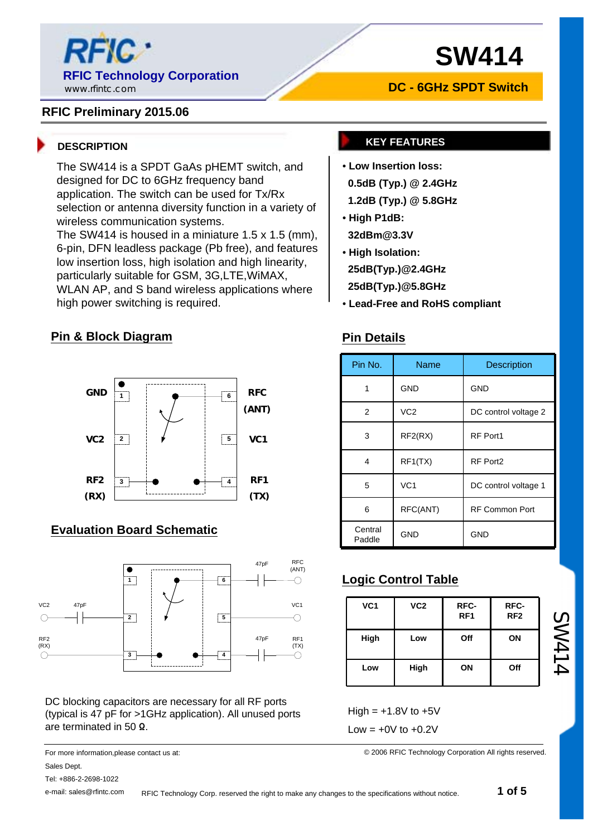

## **RFIC Preliminary 2015.06**

The SW414 is a SPDT GaAs pHEMT switch, and designed for DC to 6GHz frequency band application. The switch can be used for Tx/Rx selection or antenna diversity function in a variety of wireless communication systems.

The SW414 is housed in a miniature 1.5 x 1.5 (mm), 6-pin, DFN leadless package (Pb free), and features low insertion loss, high isolation and high linearity, particularly suitable for GSM, 3G,LTE,WiMAX, WLAN AP, and S band wireless applications where high power switching is required.

### **Pin & Block Diagram**



# **Evaluation Board Schematic**



DC blocking capacitors are necessary for all RF ports (typical is 47 pF for >1GHz application). All unused ports are terminated in 50 Ω.

For more information,please contact us at: Sales Dept.

Tel: +886-2-2698-1022

e-mail: sales@rfintc.com

# **DC - 6GHz SPDT Switch**

## **DESCRIPTION KEY FEATURES**

- **Low Insertion loss:**
- **0.5dB (Typ.) @ 2.4GHz**
- **1.2dB (Typ.) @ 5.8GHz**
- **High P1dB: 32dBm@3.3V**
- **High Isolation:**

**25dB(Typ.)@2.4GHz**

- **25dB(Typ.)@5.8GHz**
- **Lead-Free and RoHS compliant**

### **Pin Details**

| Pin No.           | <b>Name</b>     | Description           |  |  |
|-------------------|-----------------|-----------------------|--|--|
|                   | <b>GND</b>      | <b>GND</b>            |  |  |
| $\overline{2}$    | VC <sub>2</sub> | DC control voltage 2  |  |  |
| 3                 | RF2(RX)         | RF Port1              |  |  |
| 4                 | RF1(TX)         | RF Port2              |  |  |
| 5                 | VC <sub>1</sub> | DC control voltage 1  |  |  |
| 6                 | RFC(ANT)        | <b>RF Common Port</b> |  |  |
| Central<br>Paddle | <b>GND</b>      | <b>GND</b>            |  |  |

# **Logic Control Table**

| VC <sub>1</sub> | VC <sub>2</sub> | RFC-<br>RF <sub>1</sub> | RFC-<br>RF <sub>2</sub> |
|-----------------|-----------------|-------------------------|-------------------------|
| High            | Low             | Off                     | ON                      |
| Low             | High            | ON                      | Off                     |

SW414

 $High = +1.8V$  to  $+5V$ Low =  $+0V$  to  $+0.2V$ 

© 2006 RFIC Technology Corporation All rights reserved.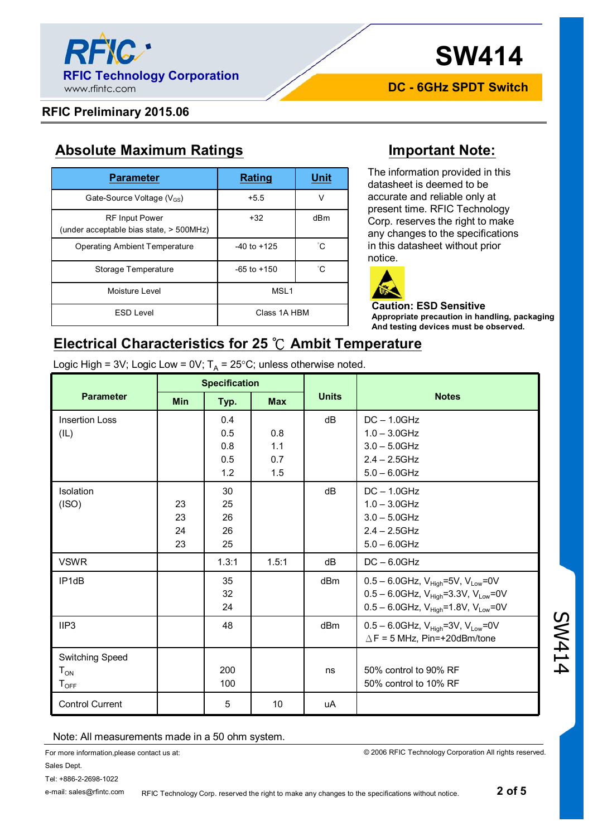

**DC - 6GHz SPDT Switch**

#### **RFIC Preliminary 2015.06**

# **Absolute Maximum Ratings Important Note:**

| <b>Parameter</b>                                                 | <b>Rating</b>    | Unit |
|------------------------------------------------------------------|------------------|------|
| Gate-Source Voltage $(V_{GS})$                                   | $+5.5$           | ν    |
| <b>RF Input Power</b><br>(under acceptable bias state, > 500MHz) | $+32$            | dBm  |
| Operating Ambient Temperature                                    | $-40$ to $+125$  | °С   |
| Storage Temperature                                              | $-65$ to $+150$  | °C.  |
| Moisture Level                                                   | MSL <sub>1</sub> |      |
| <b>ESD Level</b>                                                 | Class 1A HBM     |      |

The information provided in this datasheet is deemed to be accurate and reliable only at present time. RFIC Technology Corp. reserves the right to make any changes to the specifications in this datasheet without prior notice.



#### **Caution: ESD Sensitive Appropriate precaution in handling, packaging And testing devices must be observed.**

# **Electrical Characteristics for 25 ℃ Ambit Temperature**

Logic High = 3V; Logic Low = 0V;  $T_{\sf A}$  = 25°C; unless otherwise noted.

|                             | <b>Specification</b> |       |            |              |                                                                |  |
|-----------------------------|----------------------|-------|------------|--------------|----------------------------------------------------------------|--|
| <b>Parameter</b>            | <b>Min</b>           | Typ.  | <b>Max</b> | <b>Units</b> | <b>Notes</b>                                                   |  |
| <b>Insertion Loss</b>       |                      | 0.4   |            | dB           | $DC - 1.0GHz$                                                  |  |
| (IL)                        |                      | 0.5   | 0.8        |              | $1.0 - 3.0$ GHz                                                |  |
|                             |                      | 0.8   | 1.1        |              | $3.0 - 5.0$ GHz                                                |  |
|                             |                      | 0.5   | 0.7        |              | $2.4 - 2.5$ GHz                                                |  |
|                             |                      | 1.2   | 1.5        |              | $5.0 - 6.0$ GHz                                                |  |
| Isolation                   |                      | 30    |            | dB           | $DC - 1.0GHz$                                                  |  |
| (ISO)                       | 23                   | 25    |            |              | $1.0 - 3.0$ GHz                                                |  |
|                             | 23                   | 26    |            |              | $3.0 - 5.0$ GHz                                                |  |
|                             | 24                   | 26    |            |              | $2.4 - 2.5$ GHz                                                |  |
|                             | 23                   | 25    |            |              | $5.0 - 6.0$ GHz                                                |  |
| <b>VSWR</b>                 |                      | 1.3:1 | 1.5:1      | dB           | $DC - 6.0GHz$                                                  |  |
| IP <sub>1dB</sub>           |                      | 35    |            | dBm          | $0.5 - 6.0$ GHz, V <sub>High</sub> =5V, V <sub>Low</sub> =0V   |  |
|                             |                      | 32    |            |              | $0.5 - 6.0$ GHz, V <sub>High</sub> =3.3V, V <sub>Low</sub> =0V |  |
|                             |                      | 24    |            |              | $0.5 - 6.0$ GHz, V <sub>High</sub> =1.8V, V <sub>Low</sub> =0V |  |
| IIP3                        |                      | 48    |            | dBm          | $0.5 - 6.0$ GHz, V <sub>High</sub> =3V, V <sub>Low</sub> =0V   |  |
|                             |                      |       |            |              | $\triangle$ F = 5 MHz, Pin=+20dBm/tone                         |  |
| Switching Speed             |                      |       |            |              |                                                                |  |
| ${\tt T_{ON}}$              |                      | 200   |            | ns           | 50% control to 90% RF                                          |  |
| $\mathsf{T}_{\mathsf{OFF}}$ |                      | 100   |            |              | 50% control to 10% RF                                          |  |
| <b>Control Current</b>      |                      | 5     | 10         | uA           |                                                                |  |

#### Note: All measurements made in a 50 ohm system.

For more information,please contact us at:

© 2006 RFIC Technology Corporation All rights reserved.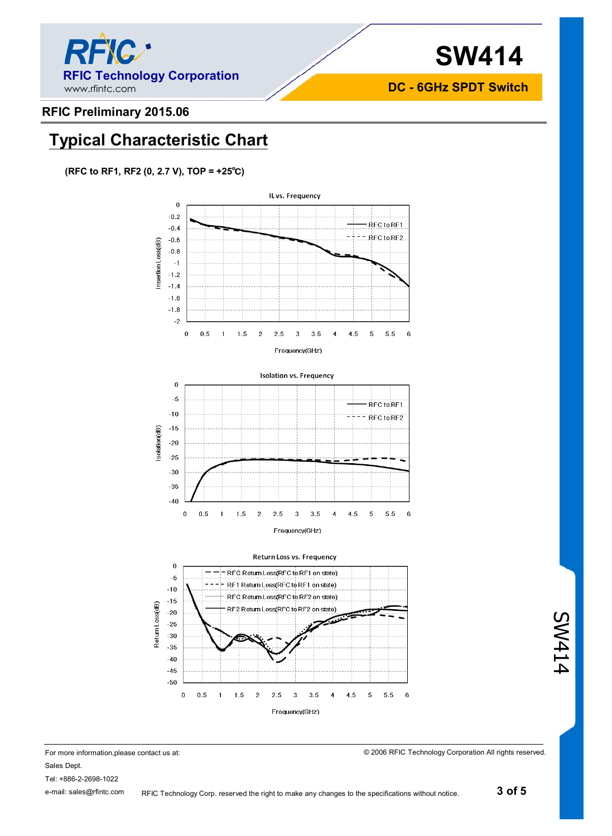

**DC - 6GHz SPDT Switch**

### **RFIC Preliminary 2015.06**

# **Typical Characteristic Chart**

**(RFC to RF1, RF2 (0, 2.7 V), TOP = +25℃)**







For more information,please contact us at: Sales Dept. Tel: +886-2-2698-1022 e-mail: sales@rfintc.com

© 2006 RFIC Technology Corporation All rights reserved.

SW414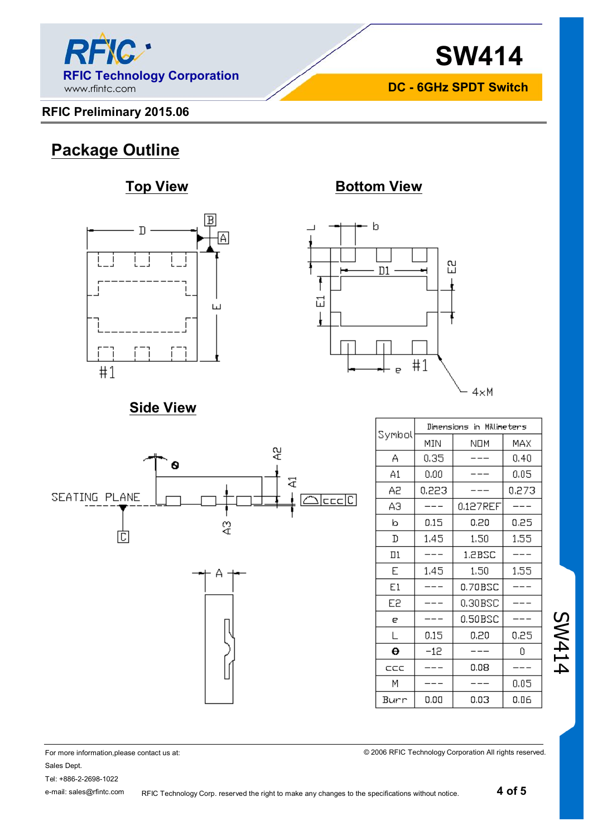

# **RFIC Preliminary 2015.06**

**SW414 DC - 6GHz SPDT Switch**

# **Package Outline**

# **Top View Bottom View**





# **Side View**





|        | Dimensions in Millimeters |          |       |  |
|--------|---------------------------|----------|-------|--|
| Symbol | MIN                       | NOM      | MAX   |  |
| А      | 0,35                      |          | 0.40  |  |
| A1     | 0.00                      |          | 0.05  |  |
| Α2     | 0.223                     |          | 0.273 |  |
| ΑЭ     |                           | 0.127REF |       |  |
| b      | 0.15                      | 0.20     | 0.25  |  |
| D      | 1.45                      | 1.50     | 1,55  |  |
| $\Box$ |                           | 1.2BSC   |       |  |
| E      | 1,45                      | 1.50     | 1.55  |  |
| E1     |                           | 0.70BSC  |       |  |
| Е2     |                           | 0.30BSC  |       |  |
| e      |                           | 0.50BSC  |       |  |
| L      | 0.15                      | 0.20     | 0.25  |  |
| Θ      | $-12$                     |          | ٥     |  |
| ccc    |                           | 0.08     |       |  |
| М      |                           |          | 0.05  |  |
| Burr   | 0.00                      | 0.03     | 0.06  |  |

© 2006 RFIC Technology Corporation All rights reserved.

SW414

#### For more information,please contact us at: Sales Dept. Tel: +886-2-2698-1022

e-mail: sales@rfintc.com